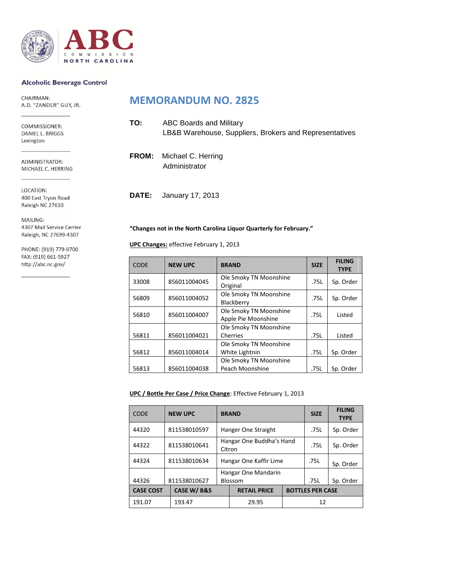

#### **Alcoholic Beverage Control**

CHAIRMAN: A.D. "ZANDER" GUY, JR.

COMMISSIONER: DANIEL L. BRIGGS Lexington

ADMINISTRATOR: MICHAEL C. HERRING

LOCATION: 400 East Tryon Road Raleigh NC 27610

MAILING: 4307 Mail Service Center Raleigh, NC 27699-4307

PHONE: (919) 779-0700 FAX: (919) 661-5927 http://abc.nc.gov/

## **MEMORANDUM NO. 2825**

| TO: | ABC Boards and Military<br>LB&B Warehouse, Suppliers, Brokers and Representatives |
|-----|-----------------------------------------------------------------------------------|
|     | <b>FROM:</b> Michael C. Herring<br>Administrator                                  |

**DATE:** January 17, 2013

#### **"Changes not in the North Carolina Liquor Quarterly for February."**

**UPC Changes:** effective February 1, 2013

| <b>CODE</b> | <b>NEW UPC</b> | <b>BRAND</b>                                  | <b>SIZE</b> | <b>FILING</b><br><b>TYPE</b> |
|-------------|----------------|-----------------------------------------------|-------------|------------------------------|
| 33008       | 856011004045   | Ole Smoky TN Moonshine<br>Original            | .75L        | Sp. Order                    |
| 56809       | 856011004052   | Ole Smoky TN Moonshine<br>Blackberry          | .75L        | Sp. Order                    |
| 56810       | 856011004007   | Ole Smoky TN Moonshine<br>Apple Pie Moonshine | .75L        | Listed                       |
| 56811       | 856011004021   | Ole Smoky TN Moonshine<br>Cherries            | .75L        | Listed                       |
| 56812       | 856011004014   | Ole Smoky TN Moonshine<br>White Lightnin      | .75L        | Sp. Order                    |
| 56813       | 856011004038   | Ole Smoky TN Moonshine<br>Peach Moonshine     | .75L        | Sp. Order                    |

#### **UPC / Bottle Per Case / Price Change**: Effective February 1, 2013

| <b>CODE</b>      |              | <b>NEW UPC</b> | <b>BRAND</b>                          |                     |      | <b>SIZE</b>             | <b>FILING</b><br><b>TYPE</b> |
|------------------|--------------|----------------|---------------------------------------|---------------------|------|-------------------------|------------------------------|
| 44320            |              | 811538010597   | Hanger One Straight                   |                     |      | .75L                    | Sp. Order                    |
| 44322            |              | 811538010641   | Hangar One Buddha's Hand<br>Citron    |                     | .75L | Sp. Order               |                              |
| 44324            | 811538010634 |                | Hangar One Kaffir Lime                |                     | .75L | Sp. Order               |                              |
|                  |              |                | Hangar One Mandarin<br><b>Blossom</b> |                     |      |                         |                              |
| 44326            |              | 811538010627   |                                       |                     |      | .75L                    | Sp. Order                    |
| <b>CASE COST</b> |              | CASE W/B&S     |                                       | <b>RETAIL PRICE</b> |      | <b>BOTTLES PER CASE</b> |                              |
| 191.07           |              | 193.47         |                                       | 29.95               |      | 12                      |                              |